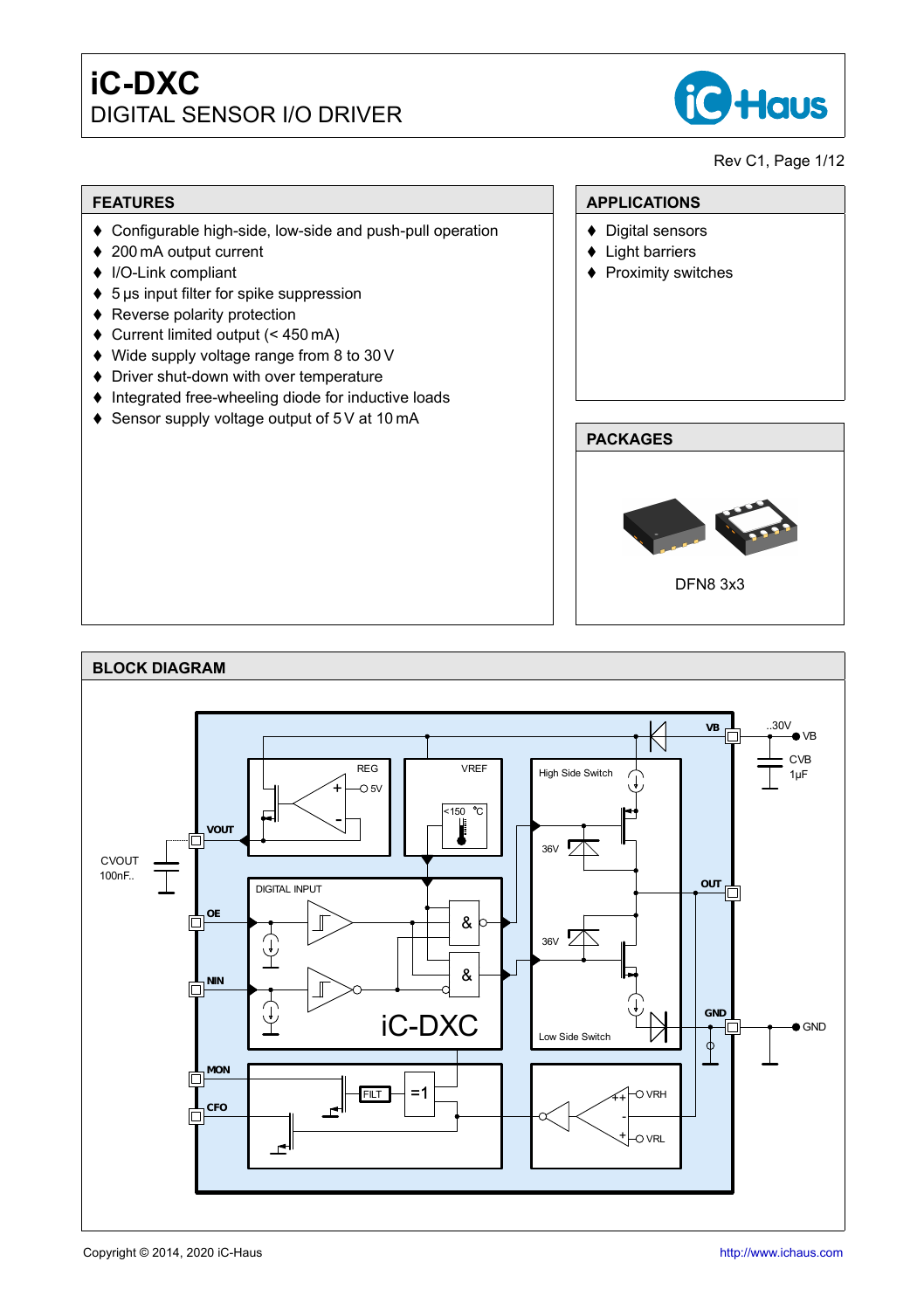

Rev C1, Page 1[/12](#page-11-0)

#### **FEATURES**

- ♦ Configurable high-side, low-side and push-pull operation
- ♦ 200 mA output current
- ◆ I/O-Link compliant
- $\bullet$  5 µs input filter for spike suppression
- $\triangle$  Reverse polarity protection
- $\bullet$  Current limited output (< 450 mA)
- ♦ Wide supply voltage range from 8 to 30 V
- $\blacklozenge$  Driver shut-down with over temperature
- $\bullet$  Integrated free-wheeling diode for inductive loads
- ♦ Sensor supply voltage output of 5 V at 10 mA

# **PACKAGES** DFN8 3x3

**APPLICATIONS**  $\blacklozenge$  Digital sensors  $\triangleleft$  Light barriers ♦ Proximity switches

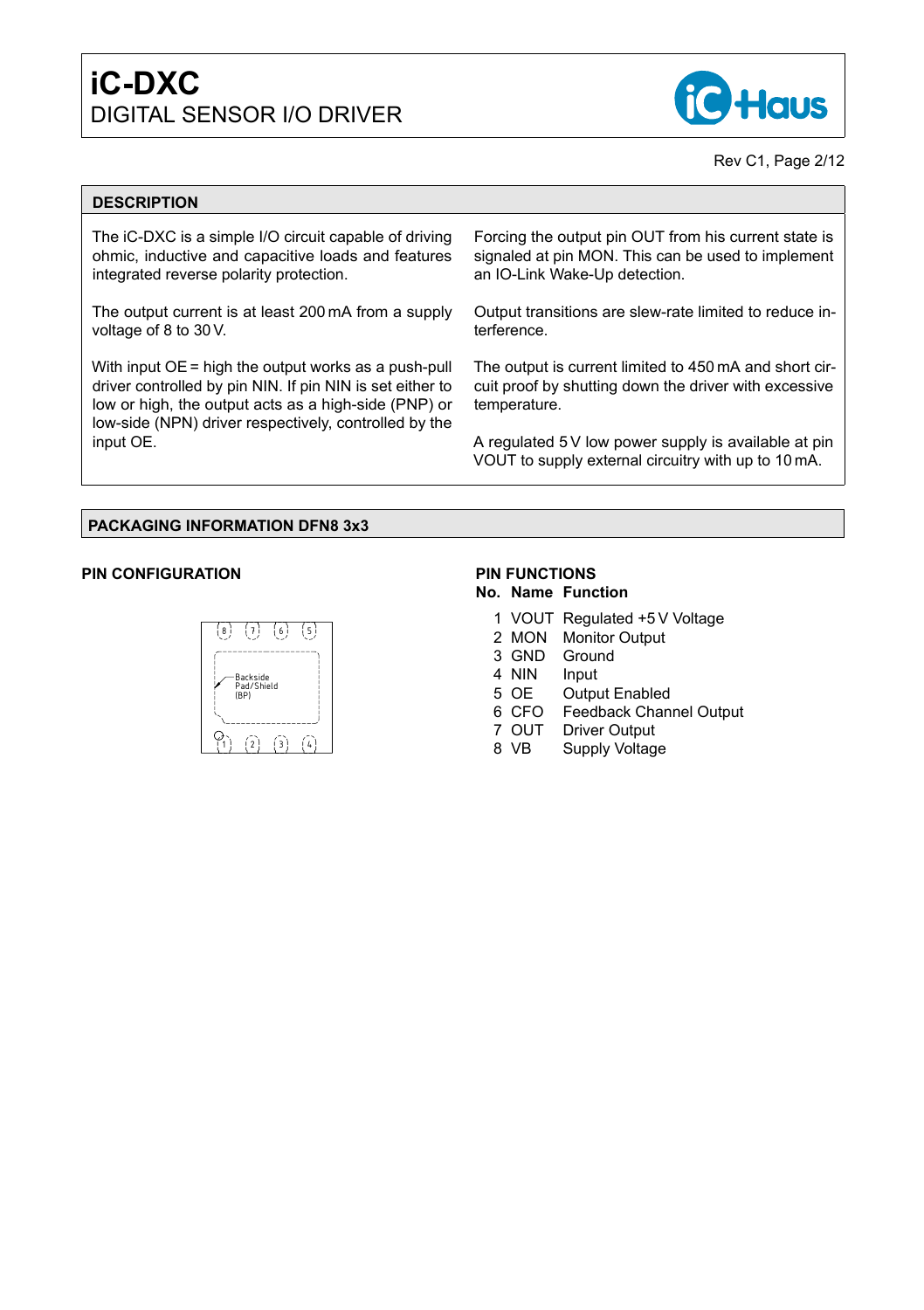

#### Rev C1, Page 2[/12](#page-11-0)

#### **DESCRIPTION**

The iC-DXC is a simple I/O circuit capable of driving ohmic, inductive and capacitive loads and features integrated reverse polarity protection.

The output current is at least 200 mA from a supply voltage of 8 to 30 V.

With input OE = high the output works as a push-pull driver controlled by pin NIN. If pin NIN is set either to low or high, the output acts as a high-side (PNP) or low-side (NPN) driver respectively, controlled by the input OE.

Forcing the output pin OUT from his current state is signaled at pin MON. This can be used to implement an IO-Link Wake-Up detection.

Output transitions are slew-rate limited to reduce interference.

The output is current limited to 450 mA and short circuit proof by shutting down the driver with excessive temperature.

A regulated 5 V low power supply is available at pin VOUT to supply external circuitry with up to 10 mA.

#### **PACKAGING INFORMATION DFN8 3x3**

#### **PIN CONFIGURATION**



## **PIN FUNCTIONS**

#### **No. Name Function**

- 1 VOUT Regulated +5 V Voltage
- 2 MON Monitor Output
- 3 GND Ground
- 4 NIN Input
- 5 OE Output Enabled
- 6 CFO Feedback Channel Output
- 7 OUT Driver Output
- 8 VB Supply Voltage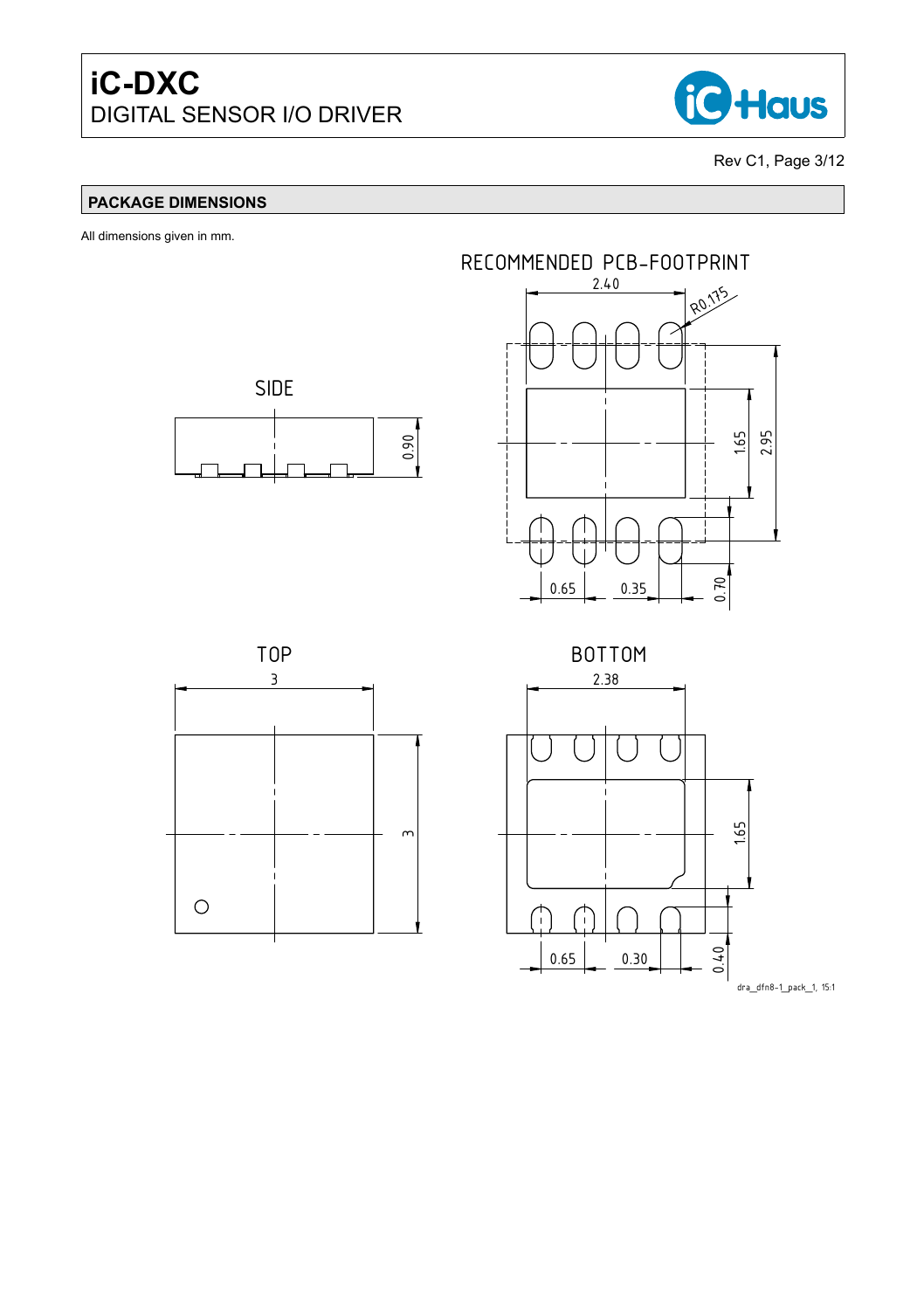

Rev C1, Page 3[/12](#page-11-0)

### **PACKAGE DIMENSIONS**

All dimensions given in mm.







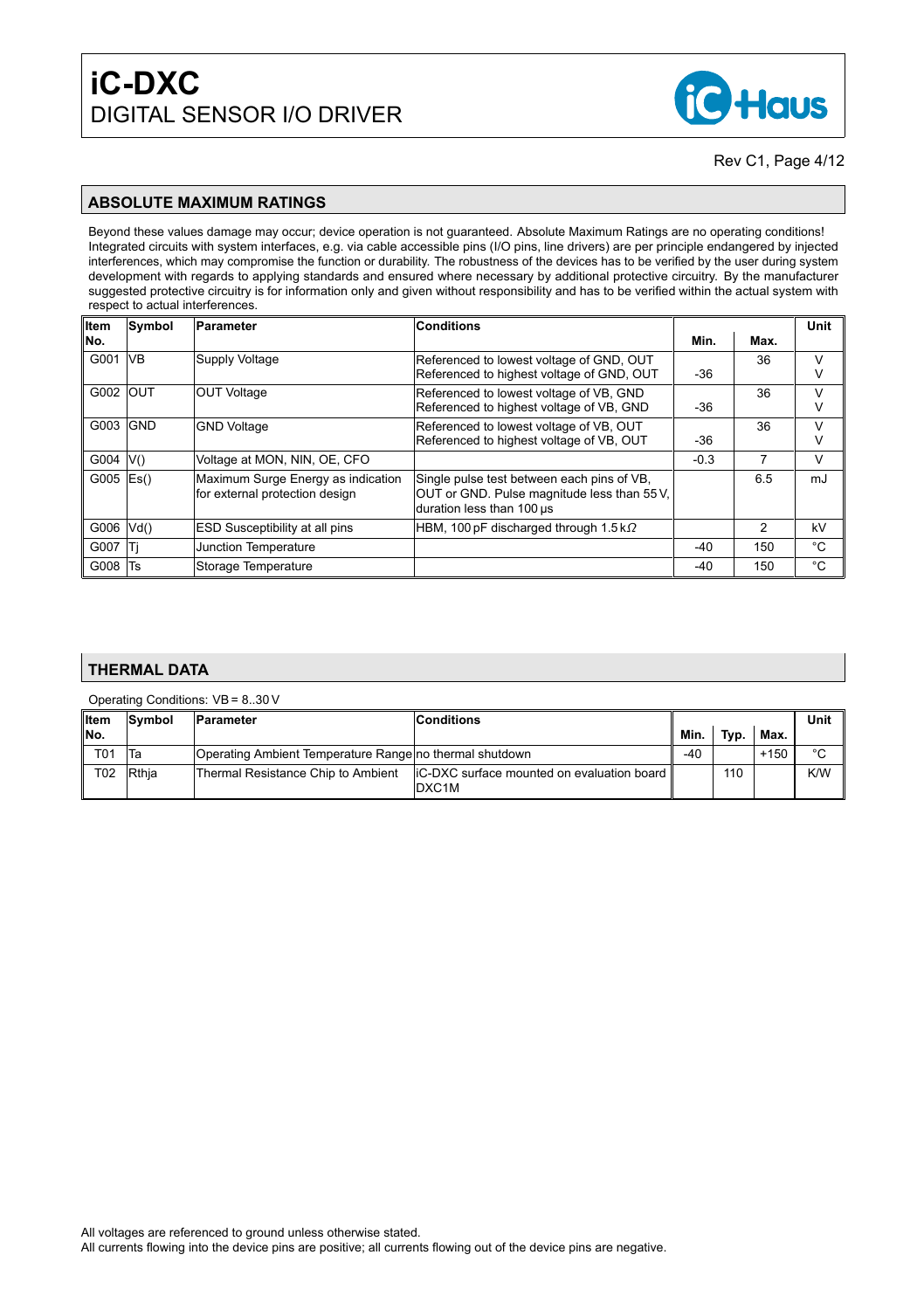

#### **ABSOLUTE MAXIMUM RATINGS**

Beyond these values damage may occur; device operation is not guaranteed. Absolute Maximum Ratings are no operating conditions! Integrated circuits with system interfaces, e.g. via cable accessible pins (I/O pins, line drivers) are per principle endangered by injected interferences, which may compromise the function or durability. The robustness of the devices has to be verified by the user during system development with regards to applying standards and ensured where necessary by additional protective circuitry. By the manufacturer suggested protective circuitry is for information only and given without responsibility and has to be verified within the actual system with respect to actual interferences.

| Item       | Symbol                    | <b>Parameter</b>                      | <b>Conditions</b>                                                        |        |      | Unit        |
|------------|---------------------------|---------------------------------------|--------------------------------------------------------------------------|--------|------|-------------|
| No.        |                           |                                       |                                                                          | Min.   | Max. |             |
| G001       | <b>VB</b>                 | Supply Voltage                        | Referenced to lowest voltage of GND, OUT                                 |        | 36   | v           |
|            |                           |                                       | Referenced to highest voltage of GND, OUT                                | $-36$  |      | ν           |
| G002   OUT |                           | <b>OUT Voltage</b>                    | Referenced to lowest voltage of VB, GND                                  |        | 36   | v           |
|            |                           |                                       | Referenced to highest voltage of VB, GND                                 | $-36$  |      | ٧           |
| G003       | <b>GND</b>                | <b>GND Voltage</b>                    | Referenced to lowest voltage of VB, OUT                                  |        | 36   | v           |
|            |                           |                                       | Referenced to highest voltage of VB, OUT                                 | $-36$  |      | ٧           |
| G004       | V()                       | Voltage at MON, NIN, OE, CFO          |                                                                          | $-0.3$ | 7    | v           |
| G005       | $\mathsf{E}\mathsf{s}$ () | Maximum Surge Energy as indication    | Single pulse test between each pins of VB.                               |        | 6.5  | mJ          |
|            |                           | for external protection design        | OUT or GND. Pulse magnitude less than 55 V.<br>duration less than 100 us |        |      |             |
|            |                           |                                       |                                                                          |        |      |             |
| G006       | Vd()                      | <b>ESD Susceptibility at all pins</b> | HBM, 100 pF discharged through $1.5 \text{ k}\Omega$                     |        | 2    | kV          |
| G007       | Τi                        | Junction Temperature                  |                                                                          | $-40$  | 150  | °C          |
| G008       | Ts                        | Storage Temperature                   |                                                                          | -40    | 150  | $^{\circ}C$ |

#### **THERMAL DATA**

Operating Conditions: VB = 8..30 V

| ∥Item           | <b>Svmbol</b> | <b>Conditions</b><br><b>Parameter</b>                   |                                                                      |      |      |        | Unit   |
|-----------------|---------------|---------------------------------------------------------|----------------------------------------------------------------------|------|------|--------|--------|
| ∥No.            |               |                                                         |                                                                      | Min. | Typ. | Max.   |        |
| T <sub>01</sub> | Ta            | Operating Ambient Temperature Range no thermal shutdown |                                                                      | -40  |      | $+150$ | $\sim$ |
| T <sub>02</sub> | <b>Rthia</b>  | Thermal Resistance Chip to Ambient                      | liC-DXC surface mounted on evaluation board   <br>DXC <sub>1</sub> M |      | 110  |        | K/W    |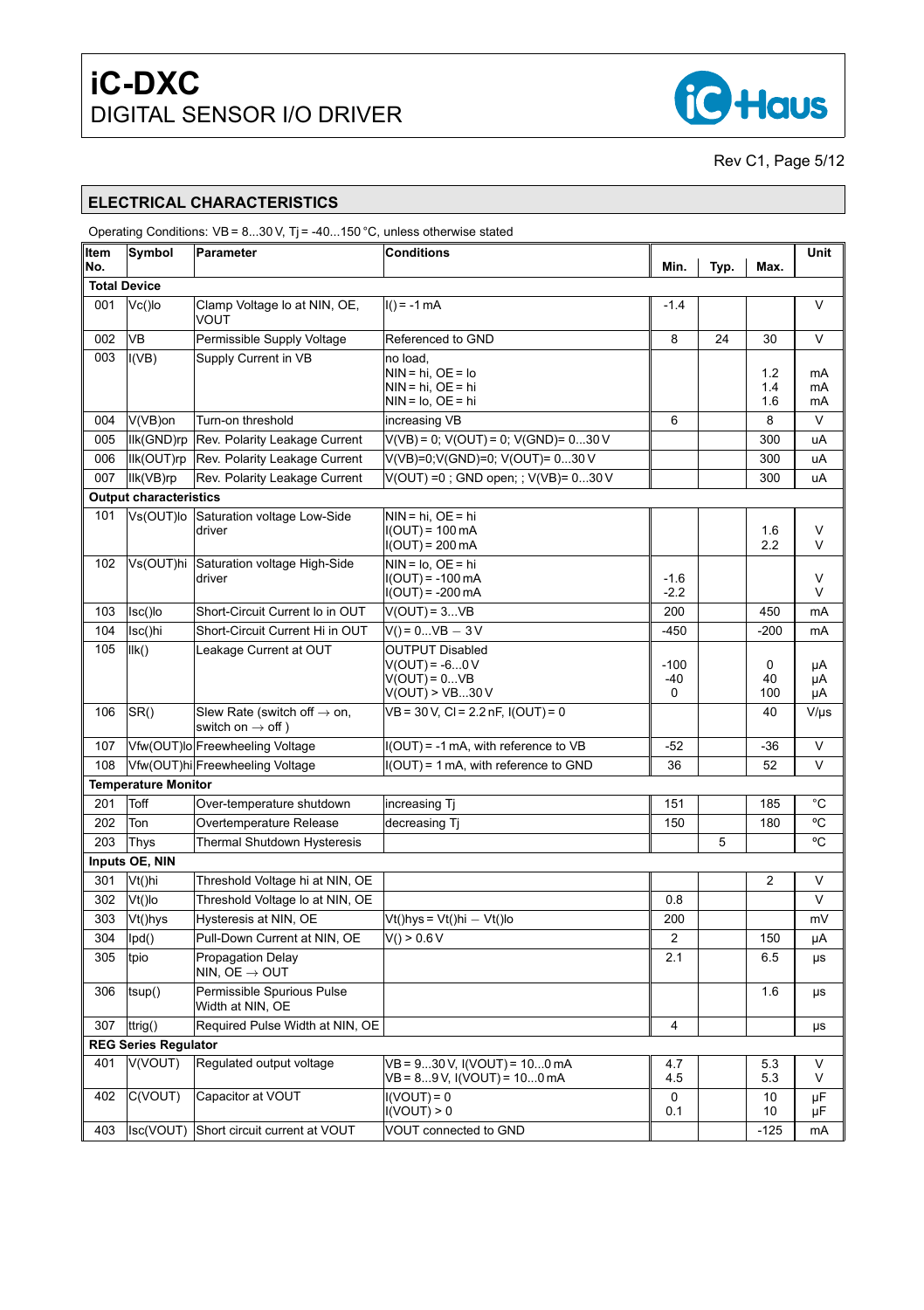

Rev C1, Page 5[/12](#page-11-0)

## **ELECTRICAL CHARACTERISTICS**

<span id="page-4-4"></span><span id="page-4-3"></span><span id="page-4-2"></span><span id="page-4-1"></span><span id="page-4-0"></span>

|              |                               | Operating Conditions: $VB = 830 V$ , T <sub>i</sub> = -40150 °C, unless otherwise stated |                                                                                        |                    |      |                   |                |
|--------------|-------------------------------|------------------------------------------------------------------------------------------|----------------------------------------------------------------------------------------|--------------------|------|-------------------|----------------|
| ∣Item<br>No. | Symbol                        | Parameter                                                                                | <b>Conditions</b>                                                                      | Min.               | Typ. | Max.              | Unit           |
|              | <b>Total Device</b>           |                                                                                          |                                                                                        |                    |      |                   |                |
| 001          | $Vc()$ lo                     | Clamp Voltage Io at NIN, OE,<br>VOUT                                                     | $I() = -1 mA$                                                                          | $-1.4$             |      |                   | $\vee$         |
| 002          | <b>VB</b>                     | Permissible Supply Voltage                                                               | Referenced to GND                                                                      | 8                  | 24   | 30                | V              |
| 003          | I(VB)                         | Supply Current in VB                                                                     | no load,<br>$NIN = hi$ , $OE = Io$<br>$NIN = hi$ , $OE = hi$<br>$NIN = Io$ , $OE = hi$ |                    |      | 1.2<br>1.4<br>1.6 | mA<br>mA<br>mA |
| 004          | V(VB)on                       | Turn-on threshold                                                                        | increasing VB                                                                          | 6                  |      | 8                 | V              |
| 005          |                               | Ilk(GND)rp Rev. Polarity Leakage Current                                                 | $V(VB) = 0$ ; $V(OUT) = 0$ ; $V(GND) = 030V$                                           |                    |      | 300               | uA             |
| 006          |                               | Ilk(OUT)rp Rev. Polarity Leakage Current                                                 | V(VB)=0;V(GND)=0; V(OUT)= 030 V                                                        |                    |      | 300               | uA             |
| 007          | llk(VB)rp                     | Rev. Polarity Leakage Current                                                            | V(OUT) =0; GND open; ; V(VB)= 030 V                                                    |                    |      | 300               | uA             |
|              | <b>Output characteristics</b> |                                                                                          |                                                                                        |                    |      |                   |                |
| 101          |                               | Vs(OUT)lo Saturation voltage Low-Side<br>driver                                          | $NIN = hi$ , $OE = hi$<br>$I(OUT) = 100 mA$<br>$I(OUT) = 200$ mA                       |                    |      | 1.6<br>2.2        | V<br>V         |
| 102          |                               | Vs(OUT)hi Saturation voltage High-Side<br>driver                                         | $NIN = Io$ , $OE = hi$<br>$I(OUT) = -100$ mA<br>I(OUT) = -200 mA                       | $-1.6$<br>$-2.2$   |      |                   | V<br>V         |
| 103          | Isc()lo                       | Short-Circuit Current Io in OUT                                                          | $V(OUT) = 3VB$                                                                         | 200                |      | 450               | mA             |
| 104          | Isc()hi                       | Short-Circuit Current Hi in OUT                                                          | $V() = 0VB - 3V$                                                                       | $-450$             |      | $-200$            | mA             |
| 105          | IIk()                         | Leakage Current at OUT                                                                   | <b>OUTPUT Disabled</b><br>$V(OUT) = -60V$<br>$V(OUT) = 0VB$<br>V(OUT) > VB30V          | $-100$<br>-40<br>0 |      | 0<br>40<br>100    | μA<br>μA<br>μA |
| 106          | SR()                          | Slew Rate (switch off $\rightarrow$ on,<br>switch on $\rightarrow$ off )                 | $VB = 30 V, Cl = 2.2 nF, I(OUT) = 0$                                                   |                    |      | 40                | $V/\mu s$      |
| 107          |                               | Vfw(OUT)lo Freewheeling Voltage                                                          | $I(OUT) = -1$ mA, with reference to VB                                                 | $-52$              |      | $-36$             | $\vee$         |
| 108          |                               | Vfw(OUT)hi Freewheeling Voltage                                                          | I(OUT) = 1 mA, with reference to GND                                                   | 36                 |      | 52                | V              |
|              | <b>Temperature Monitor</b>    |                                                                                          |                                                                                        |                    |      |                   |                |
| 201          | Toff                          | Over-temperature shutdown                                                                | increasing Tj                                                                          | 151                |      | 185               | °C             |
| 202          | Ton                           | Overtemperature Release                                                                  | decreasing Tj                                                                          | 150                |      | 180               | °C             |
| 203          | Thys                          | <b>Thermal Shutdown Hysteresis</b>                                                       |                                                                                        |                    | 5    |                   | °C             |
|              | Inputs OE, NIN                |                                                                                          |                                                                                        |                    |      |                   |                |
| 301          | Vt()hi                        | Threshold Voltage hi at NIN, OE                                                          |                                                                                        |                    |      | 2                 | V              |
| 302          | Vt()lo                        | Threshold Voltage Io at NIN, OE                                                          |                                                                                        | 0.8                |      |                   | V              |
| 303          | Vt()hys                       | Hysteresis at NIN, OE                                                                    | Vt()hys=Vt()hi — Vt()lo                                                                | 200                |      |                   | mV             |
| 304          | lpd()                         | Pull-Down Current at NIN. OE                                                             | V() > 0.6 V                                                                            | 2                  |      | 150               | μA             |
| 305          | tpio                          | Propagation Delay<br>NIN, OE $\rightarrow$ OUT                                           |                                                                                        | 2.1                |      | 6.5               | μs             |
| 306          | tsup()                        | Permissible Spurious Pulse<br>Width at NIN, OE                                           |                                                                                        |                    |      | 1.6               | μs             |
| 307          | ttrig()                       | Required Pulse Width at NIN, OE                                                          |                                                                                        | 4                  |      |                   | μs             |
|              | <b>REG Series Regulator</b>   |                                                                                          |                                                                                        |                    |      |                   |                |
| 401          | V(VOUT)                       | Regulated output voltage                                                                 | VB = 930 V, I(VOUT) = 100 mA<br>VB = 89 V, I(VOUT) = 100 mA                            | 4.7<br>4.5         |      | 5.3<br>5.3        | V<br>V         |
| 402          | C(VOUT)                       | Capacitor at VOUT                                                                        | $I(VOUT) = 0$<br>I(VOUT) > 0                                                           | 0<br>0.1           |      | 10<br>10          | μF<br>μF       |
| 403          |                               | Isc(VOUT) Short circuit current at VOUT                                                  | VOUT connected to GND                                                                  |                    |      | $-125$            | mA             |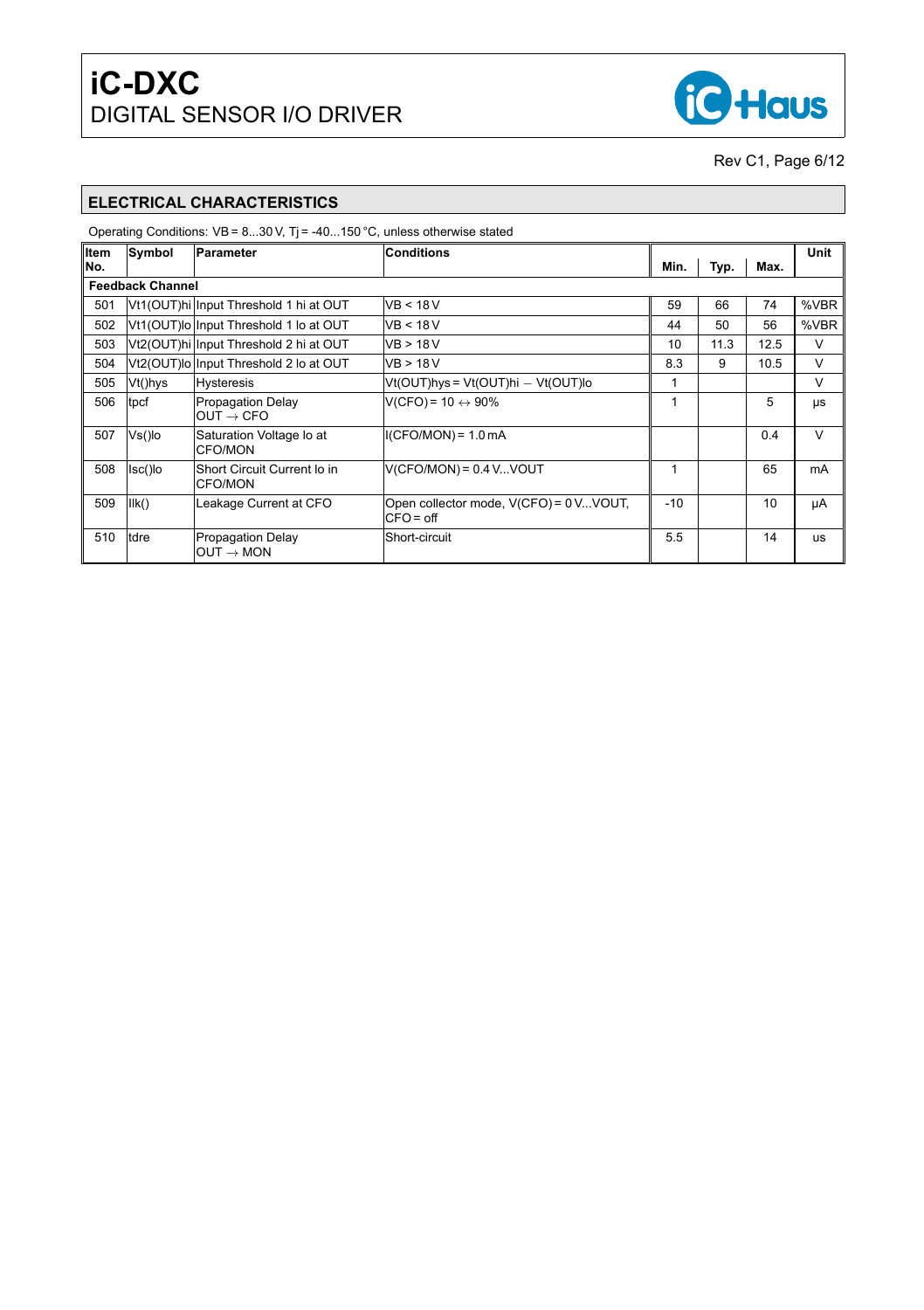

Rev C1, Page 6[/12](#page-11-0)

## **ELECTRICAL CHARACTERISTICS**

<span id="page-5-0"></span>

| ∥Item | Symbol                  | Parameter                                         | <b>Conditions</b>                                    |       |      |      | Unit   |
|-------|-------------------------|---------------------------------------------------|------------------------------------------------------|-------|------|------|--------|
| No.   |                         |                                                   |                                                      | Min.  | Typ. | Max. |        |
|       | <b>Feedback Channel</b> |                                                   |                                                      |       |      |      |        |
| 501   |                         | Vt1(OUT)hi Input Threshold 1 hi at OUT            | VB < 18 V                                            | 59    | 66   | 74   | %VBR   |
| 502   |                         | Vt1(OUT)lo Input Threshold 1 lo at OUT            | VB < 18 V                                            | 44    | 50   | 56   | %VBR   |
| 503   |                         | Vt2(OUT)hi Input Threshold 2 hi at OUT            | VB > 18 V                                            | 10    | 11.3 | 12.5 | V      |
| 504   |                         | Vt2(OUT)lo Input Threshold 2 lo at OUT            | VB > 18V                                             | 8.3   | 9    | 10.5 | V      |
| 505   | Vt()hys                 | Hysteresis                                        | Vt(OUT)hys = Vt(OUT)hi — Vt(OUT)lo                   |       |      |      | V      |
| 506   | tpcf                    | <b>Propagation Delay</b><br>$OUT \rightarrow CFO$ | $V(CFO) = 10 \leftrightarrow 90\%$                   |       |      | 5    | μs     |
| 507   | Vs()lo                  | Saturation Voltage lo at<br>CFO/MON               | $I(CFO/MON) = 1.0 mA$                                |       |      | 0.4  | $\vee$ |
| 508   | lsc()lo                 | Short Circuit Current lo in<br><b>CFO/MON</b>     | $V(CFO/MON) = 0.4 VVOUT$                             |       |      | 65   | mA     |
| 509   | IIk()                   | Leakage Current at CFO                            | Open collector mode, V(CFO) = 0VVOUT,<br>$CFO = off$ | $-10$ |      | 10   | μA     |
| 510   | tdre                    | <b>Propagation Delay</b><br>$OUT \rightarrow MON$ | Short-circuit                                        | 5.5   |      | 14   | us     |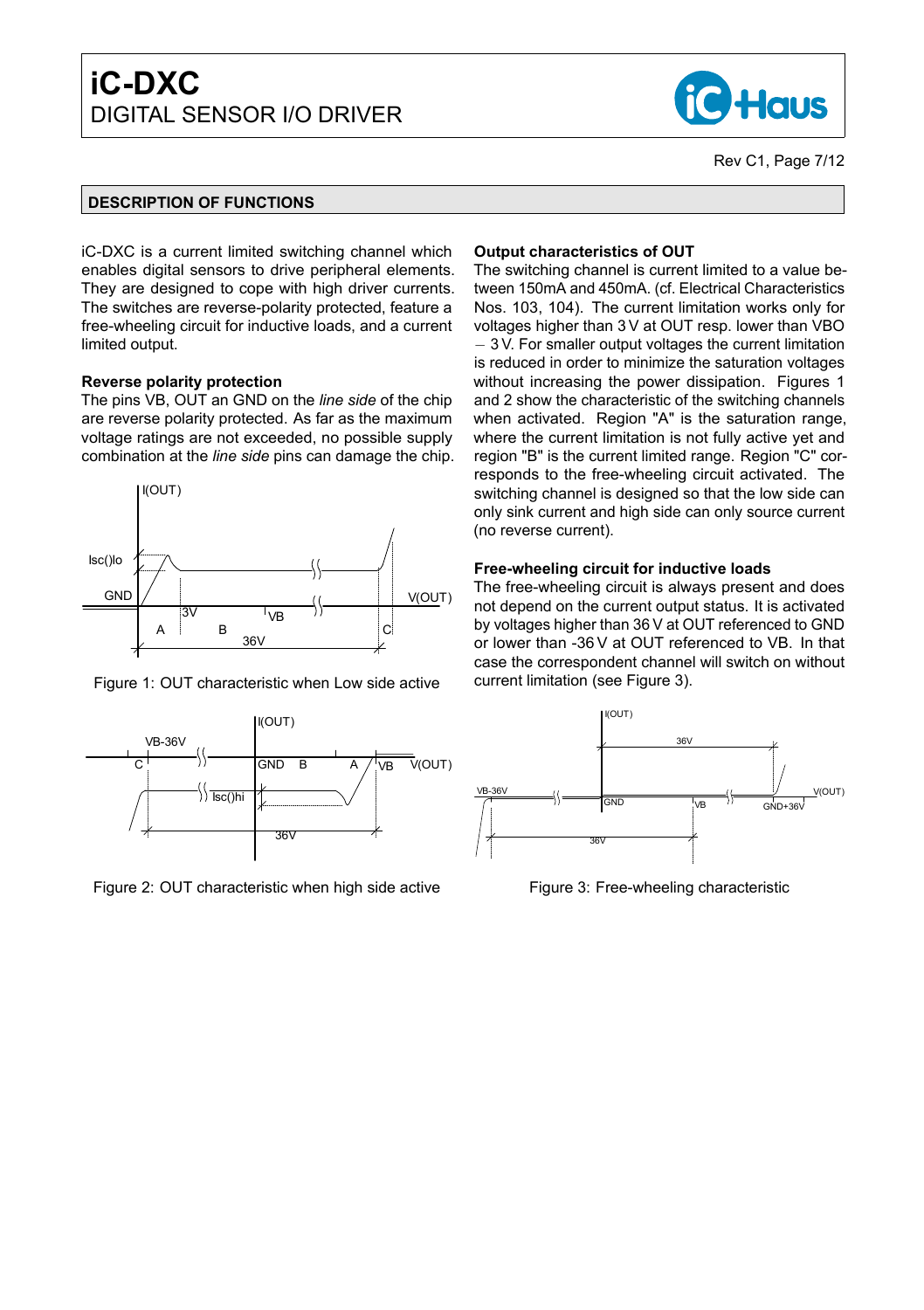

#### **DESCRIPTION OF FUNCTIONS**

iC-DXC is a current limited switching channel which enables digital sensors to drive peripheral elements. They are designed to cope with high driver currents. The switches are reverse-polarity protected, feature a free-wheeling circuit for inductive loads, and a current limited output.

#### **Reverse polarity protection**

The pins VB, OUT an GND on the *line side* of the chip are reverse polarity protected. As far as the maximum voltage ratings are not exceeded, no possible supply combination at the *line side* pins can damage the chip.



Figure 1: OUT characteristic when Low side active



Figure 2: OUT characteristic when high side active

#### **Output characteristics of OUT**

The switching channel is current limited to a value between 150mA and 450mA. (cf. Electrical Characteristics Nos. [103,](#page-4-0) [104\)](#page-4-1). The current limitation works only for voltages higher than 3 V at OUT resp. lower than VBO − 3 V. For smaller output voltages the current limitation is reduced in order to minimize the saturation voltages without increasing the power dissipation. Figures [1](#page-6-0) and [2](#page-6-1) show the characteristic of the switching channels when activated. Region "A" is the saturation range, where the current limitation is not fully active yet and region "B" is the current limited range. Region "C" corresponds to the free-wheeling circuit activated. The switching channel is designed so that the low side can only sink current and high side can only source current (no reverse current).

#### **Free-wheeling circuit for inductive loads**

<span id="page-6-0"></span>The free-wheeling circuit is always present and does not depend on the current output status. It is activated by voltages higher than 36 V at OUT referenced to GND or lower than -36 V at OUT referenced to VB. In that case the correspondent channel will switch on without current limitation (see Figure [3\)](#page-6-2).



<span id="page-6-2"></span><span id="page-6-1"></span>Figure 3: Free-wheeling characteristic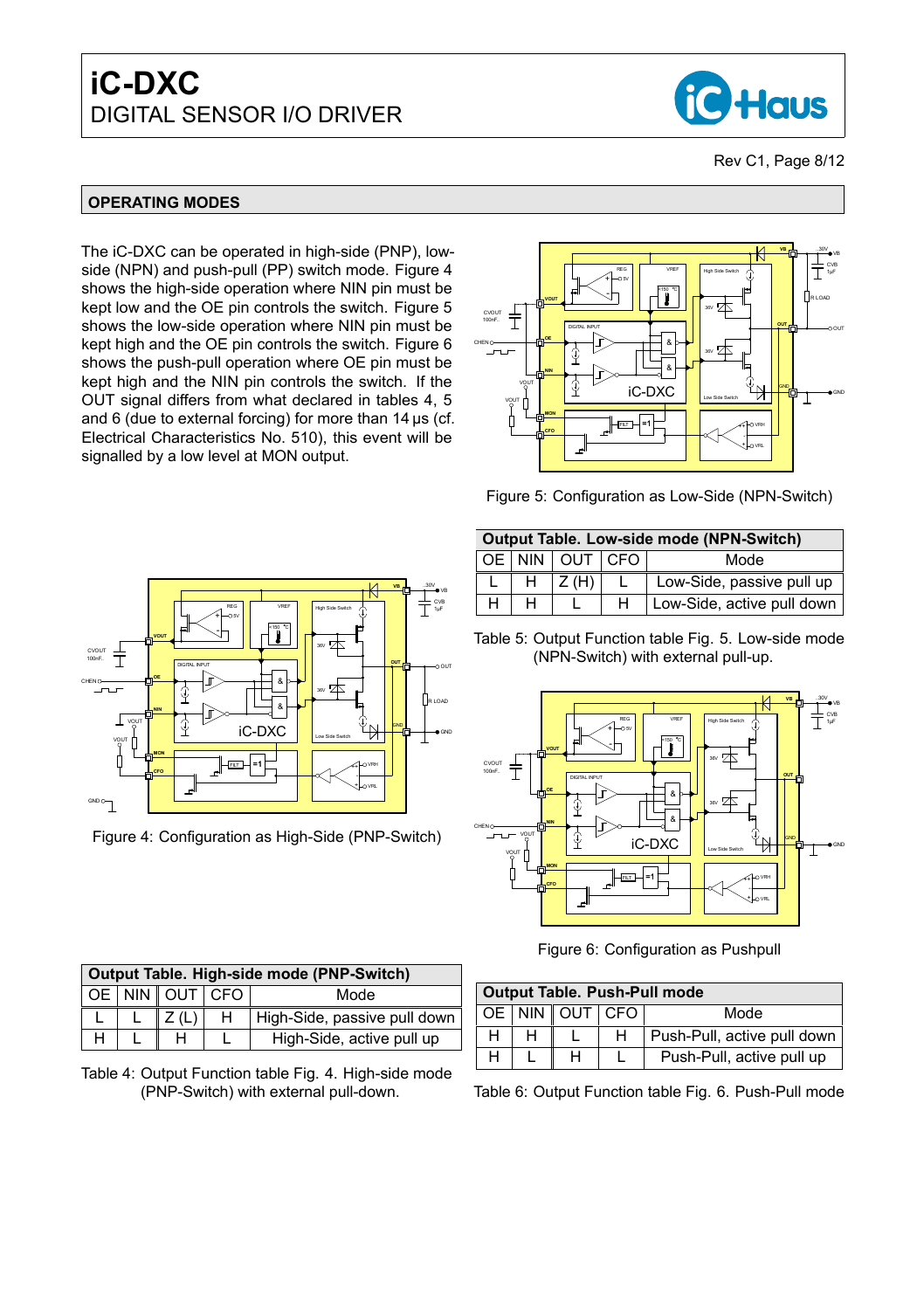

#### **OPERATING MODES**

The iC-DXC can be operated in high-side (PNP), lowside (NPN) and push-pull (PP) switch mode. Figure [4](#page-7-0) shows the high-side operation where NIN pin must be kept low and the OE pin controls the switch. Figure [5](#page-7-1) shows the low-side operation where NIN pin must be kept high and the OE pin controls the switch. Figure [6](#page-7-2) shows the push-pull operation where OE pin must be kept high and the NIN pin controls the switch. If the OUT signal differs from what declared in tables [4,](#page-7-3) [5](#page-7-4) and [6](#page-7-5) (due to external forcing) for more than 14 µs (cf. Electrical Characteristics No. [510\)](#page-5-0), this event will be signalled by a low level at MON output.



<span id="page-7-4"></span><span id="page-7-1"></span>w-Side (NPN-Switch)

|   | Output Table. Low-side mode (NPN-Switch) |                    |   |                            |  |  |  |  |  |
|---|------------------------------------------|--------------------|---|----------------------------|--|--|--|--|--|
|   |                                          | OE NIN OUT CFO     |   | Mode                       |  |  |  |  |  |
|   | н                                        | $\parallel$ Z (H). |   | Low-Side, passive pull up  |  |  |  |  |  |
| н | н                                        |                    | н | Low-Side, active pull down |  |  |  |  |  |

Table 5: Output Function table Fig. [5.](#page-7-1) Low-side mode (NPN-Switch) with external pull-up.

<span id="page-7-0"></span>

<span id="page-7-5"></span><span id="page-7-2"></span>Figure 6: Configuration as Pushpull

<span id="page-7-3"></span>

| <b>Output Table. Push-Pull mode</b> |  |  |   |                             |  |  |  |  |
|-------------------------------------|--|--|---|-----------------------------|--|--|--|--|
| OE NIN OUT CFO<br>Mode              |  |  |   |                             |  |  |  |  |
|                                     |  |  | H | Push-Pull, active pull down |  |  |  |  |
|                                     |  |  |   | Push-Pull, active pull up   |  |  |  |  |



 $L \mid L \mid Z(L) \mid H \mid$  High-Side, passive pull down

**Output Table. High-side mode (PNP-Switch)** OE NIN OUT CFO

Table 6: Output Function table Fig. [6.](#page-7-2) Push-Pull mode

|                          | $V_B$                                                                                                                                                                                 |  |
|--------------------------|---------------------------------------------------------------------------------------------------------------------------------------------------------------------------------------|--|
| CVOUT<br>100nF           | CVB<br>REG<br>VREF<br>$1 \mu F$<br>High Side Switch<br>$\bullet$ 5V<br>$\frac{1}{2}$ -150 $\frac{9}{2}$<br><b>D</b> vout<br>36V                                                       |  |
| CHEN O<br>——<br>vout     | <b>our</b> <sub>o</sub><br>DIGITAL INPUT<br>OOUT<br><b>DIDE</b><br>&<br>36V<br>⊕<br>RLOAD<br>&<br>Е<br><b>DH</b><br>Ç<br><b>IGND</b><br>$iC$ -DXC<br>$\bullet$ GND<br>Low Side Switch |  |
| vout<br>GND <sub>O</sub> | <b>HAMON</b><br>$=1$<br>-OVRH<br>FILT<br><b>DEFO</b><br>t Fovrl<br>≖                                                                                                                  |  |

Figure 4: Configuration as High-Side (PNP-Switch)

| Figure 5: Configuration as Lov |
|--------------------------------|
|                                |

CVB 1μF VB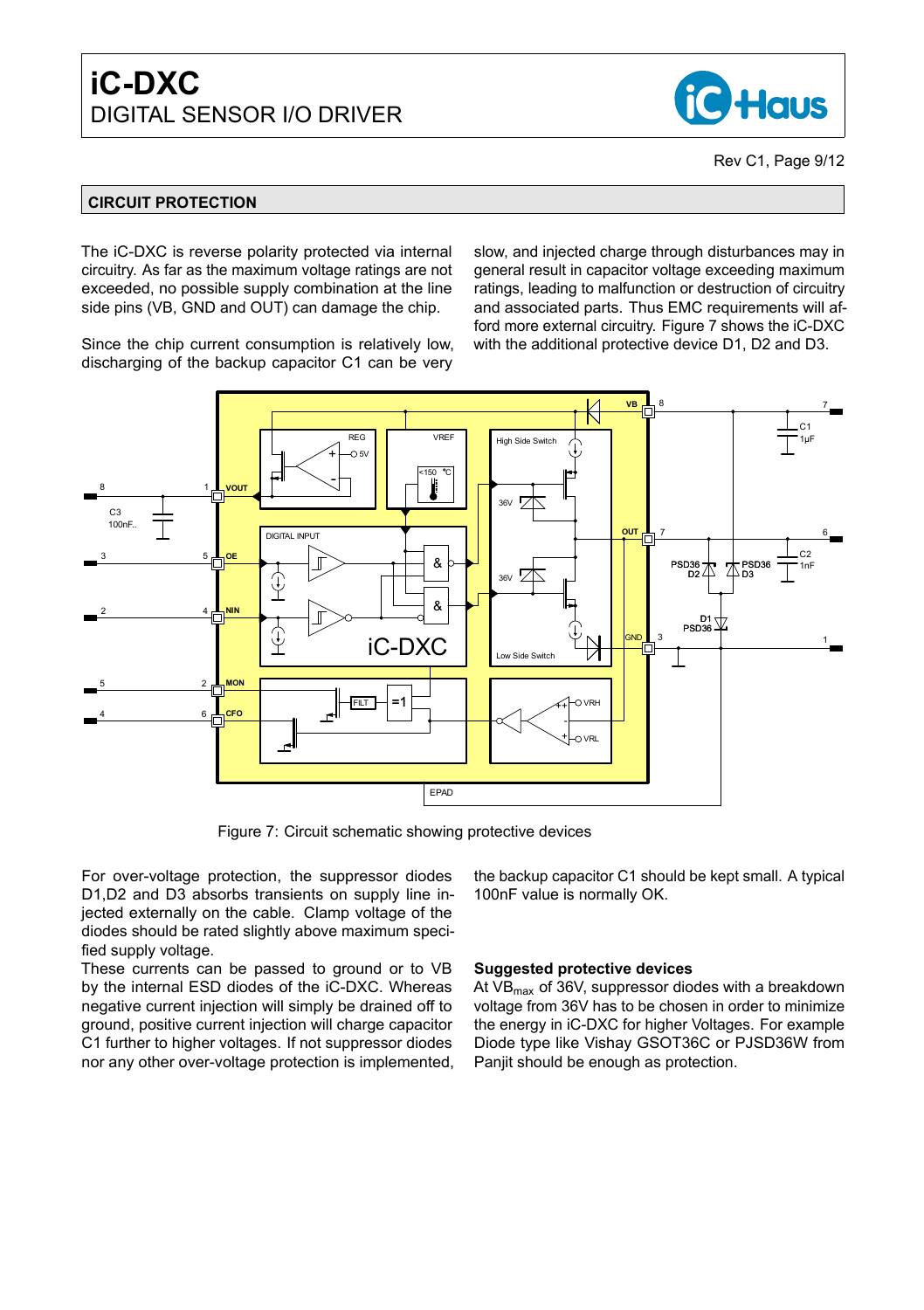

#### **CIRCUIT PROTECTION**

The iC-DXC is reverse polarity protected via internal circuitry. As far as the maximum voltage ratings are not exceeded, no possible supply combination at the line side pins (VB, GND and OUT) can damage the chip.

Since the chip current consumption is relatively low, discharging of the backup capacitor C1 can be very

slow, and injected charge through disturbances may in general result in capacitor voltage exceeding maximum ratings, leading to malfunction or destruction of circuitry and associated parts. Thus EMC requirements will afford more external circuitry. Figure [7](#page-8-0) shows the iC-DXC with the additional protective device D1, D2 and D3.



Figure 7: Circuit schematic showing protective devices

For over-voltage protection, the suppressor diodes D1,D2 and D3 absorbs transients on supply line injected externally on the cable. Clamp voltage of the diodes should be rated slightly above maximum specified supply voltage.

These currents can be passed to ground or to VB by the internal ESD diodes of the iC-DXC. Whereas negative current injection will simply be drained off to ground, positive current injection will charge capacitor C1 further to higher voltages. If not suppressor diodes nor any other over-voltage protection is implemented, <span id="page-8-0"></span>the backup capacitor C1 should be kept small. A typical 100nF value is normally OK.

#### **Suggested protective devices**

At  $VB_{max}$  of 36V, suppressor diodes with a breakdown voltage from 36V has to be chosen in order to minimize the energy in iC-DXC for higher Voltages. For example Diode type like Vishay GSOT36C or PJSD36W from Panjit should be enough as protection.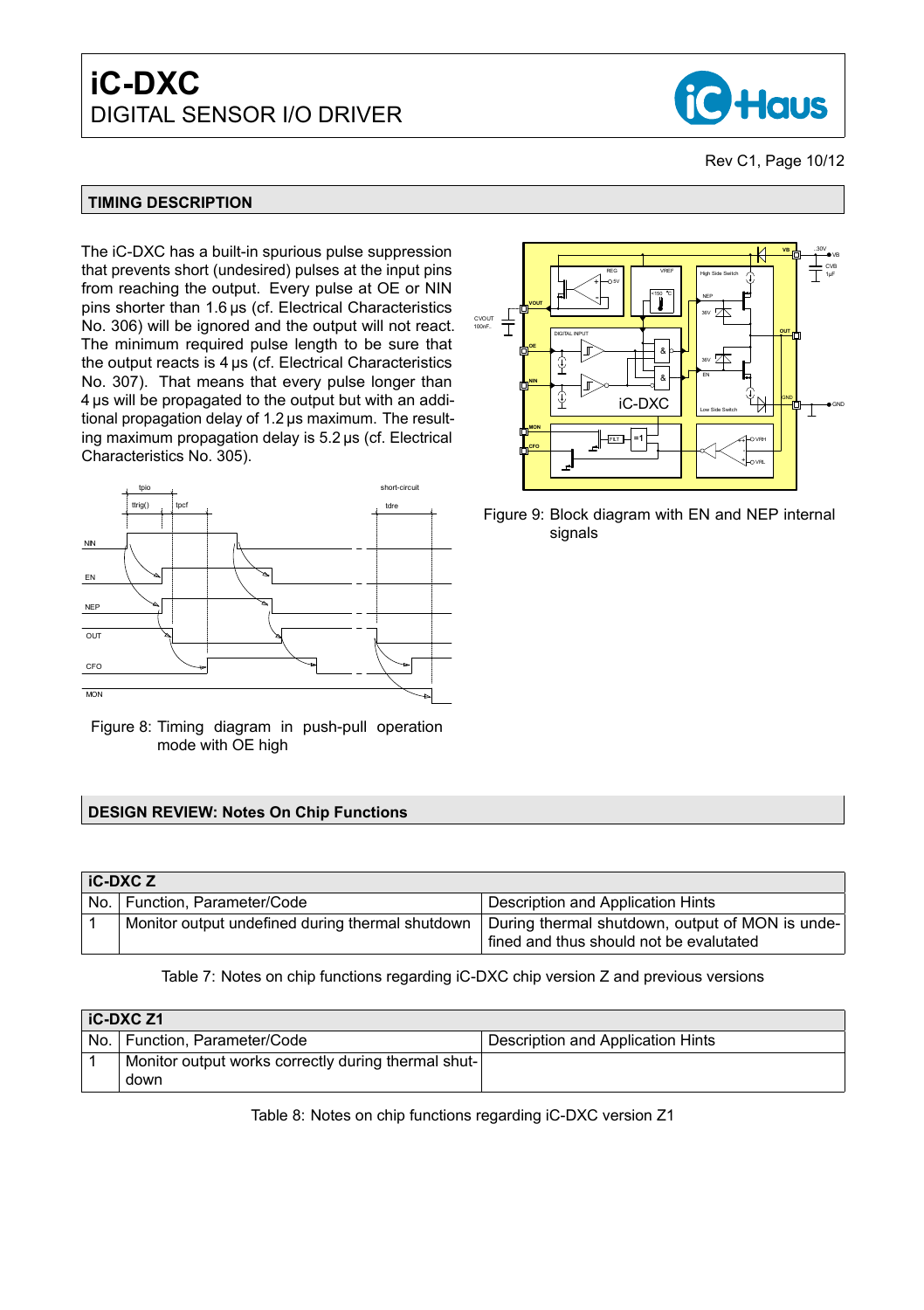

#### **TIMING DESCRIPTION**

The iC-DXC has a built-in spurious pulse suppression that prevents short (undesired) pulses at the input pins from reaching the output. Every pulse at OE or NIN pins shorter than 1.6 µs (cf. Electrical Characteristics No. [306\)](#page-4-2) will be ignored and the output will not react. The minimum required pulse length to be sure that the output reacts is 4 µs (cf. Electrical Characteristics No. [307\)](#page-4-3). That means that every pulse longer than 4 µs will be propagated to the output but with an additional propagation delay of 1.2 µs maximum. The resulting maximum propagation delay is 5.2 µs (cf. Electrical Characteristics No. [305\)](#page-4-4).



Figure 8: Timing diagram in push-pull operation mode with OE high

#### **DESIGN REVIEW: Notes On Chip Functions**

| <b>iC-DXCZ</b>                                   |                                                                                            |
|--------------------------------------------------|--------------------------------------------------------------------------------------------|
| No.   Function, Parameter/Code                   | Description and Application Hints                                                          |
| Monitor output undefined during thermal shutdown | During thermal shutdown, output of MON is unde-<br>fined and thus should not be evalutated |

#### Table 7: Notes on chip functions regarding iC-DXC chip version Z and previous versions

|     | iC-DXC Z1                                                   |                                   |
|-----|-------------------------------------------------------------|-----------------------------------|
| No. | Function, Parameter/Code                                    | Description and Application Hints |
|     | Monitor output works correctly during thermal shut-<br>down |                                   |

Table 8: Notes on chip functions regarding iC-DXC version Z1



Figure 9: Block diagram with EN and NEP internal signals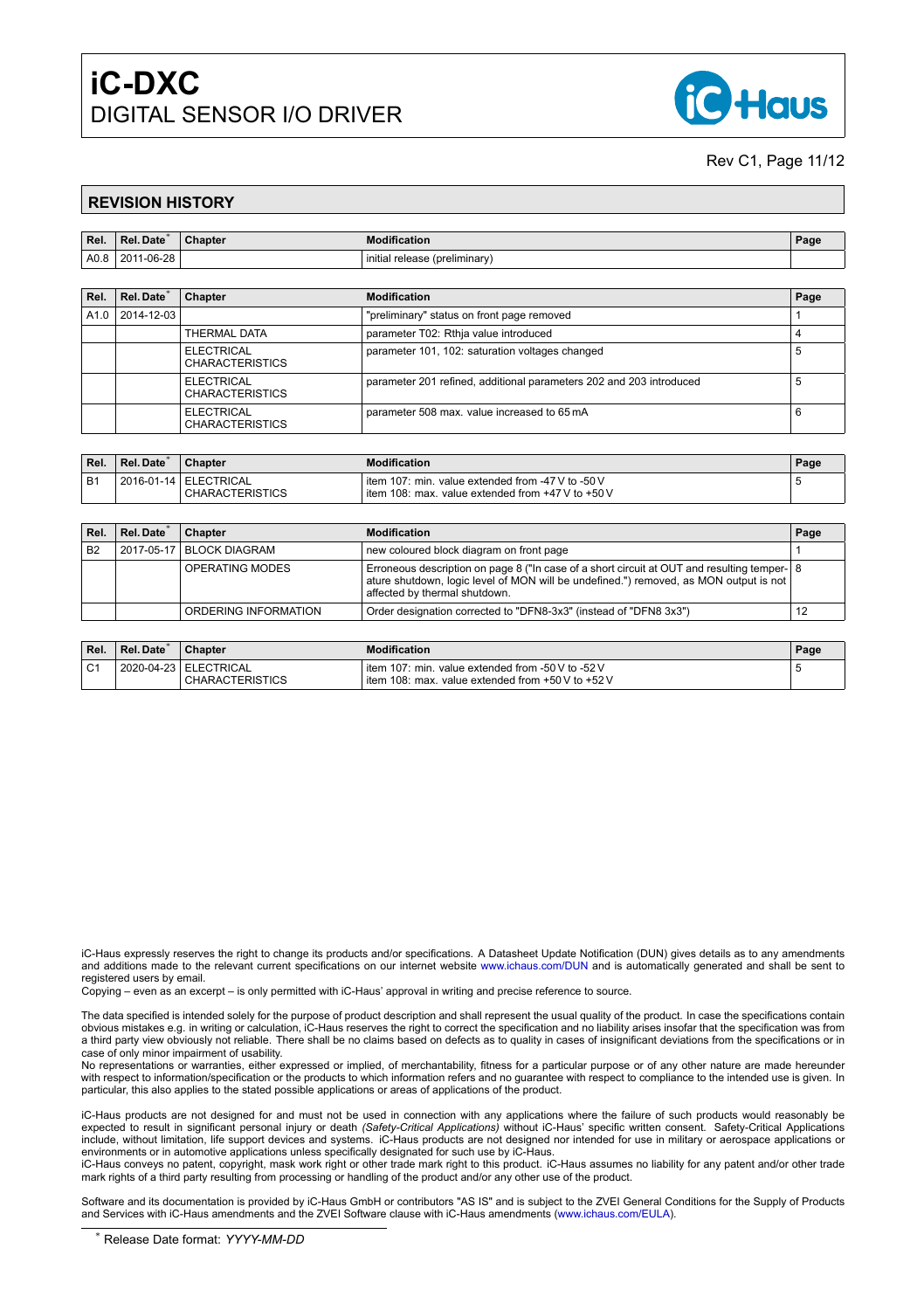

#### Rev C1, Page 11[/12](#page-11-0)

#### **REVISION HISTORY**

| Rel. | Rel.<br>. Date   | $\sim$<br>Chapter | <b>Modification</b>                              | 'ag |
|------|------------------|-------------------|--------------------------------------------------|-----|
| A0.8 | 11-06-28<br>2011 |                   | .<br><i>initia</i><br>. (preliminary)<br>release |     |

| Rel. | Rel. Date <sup>*</sup> | <b>Chapter</b>                              | <b>Modification</b>                                                 | Page |
|------|------------------------|---------------------------------------------|---------------------------------------------------------------------|------|
| A1.0 | 2014-12-03             |                                             | "preliminary" status on front page removed                          |      |
|      |                        | <b>THERMAL DATA</b>                         | parameter T02: Rthja value introduced                               |      |
|      |                        | ELECTRICAL<br><b>CHARACTERISTICS</b>        | parameter 101, 102: saturation voltages changed                     |      |
|      |                        | ELECTRICAL<br><b>CHARACTERISTICS</b>        | parameter 201 refined, additional parameters 202 and 203 introduced |      |
|      |                        | <b>ELECTRICAL</b><br><b>CHARACTERISTICS</b> | parameter 508 max. value increased to 65 mA                         |      |

| Rel. | Rel. Date | <b>Chapter</b>                                    | <b>Modification</b>                                                                                        | Page |
|------|-----------|---------------------------------------------------|------------------------------------------------------------------------------------------------------------|------|
| B1   |           | 2016-01-14   ELECTRICAL<br><b>CHARACTERISTICS</b> | l item 107: min. value extended from -47 V to -50 V<br>l item 108: max. value extended from +47 V to +50 V |      |

| Rel.      | Rel. Date <sup>®</sup> | <b>Chapter</b>             | <b>Modification</b>                                                                                                                                                                                                   | Page |
|-----------|------------------------|----------------------------|-----------------------------------------------------------------------------------------------------------------------------------------------------------------------------------------------------------------------|------|
| <b>B2</b> |                        | 2017-05-17   BLOCK DIAGRAM | new coloured block diagram on front page                                                                                                                                                                              |      |
|           |                        | OPERATING MODES            | Erroneous description on page 8 ("In case of a short circuit at OUT and resulting temper- 8<br>ature shutdown, logic level of MON will be undefined.") removed, as MON output is not<br>affected by thermal shutdown. |      |
|           |                        | ORDERING INFORMATION       | Order designation corrected to "DFN8-3x3" (instead of "DFN8 3x3")                                                                                                                                                     | 12   |

| Rel.           | Rel. Date  | <b>Chapter</b>                                    | <b>Modification</b>                                                                                      | Page |
|----------------|------------|---------------------------------------------------|----------------------------------------------------------------------------------------------------------|------|
| C <sub>1</sub> | 2020-04-23 | <sup>1</sup> ELECTRICAL<br><b>CHARACTERISTICS</b> | item 107: min. value extended from -50 V to -52 V<br>i item 108: max. value extended from +50 V to +52 V |      |

iC-Haus expressly reserves the right to change its products and/or specifications. A Datasheet Update Notification (DUN) gives details as to any amendments<br>and additions made to the relevant current specifications on our i registered users by email.

Copying – even as an excerpt – is only permitted with iC-Haus' approval in writing and precise reference to source.

The data specified is intended solely for the purpose of product description and shall represent the usual quality of the product. In case the specifications contain obvious mistakes e.g. in writing or calculation, iC-Haus reserves the right to correct the specification and no liability arises insofar that the specification was from<br>a third party view obviously not reliable. There shal case of only minor impairment of usability.

No representations or warranties, either expressed or implied, of merchantability, fitness for a particular purpose or of any other nature are made hereunder with respect to information/specification or the products to which information refers and no guarantee with respect to compliance to the intended use is given. In particular, this also applies to the stated possible applications or areas of applications of the product.

iC-Haus products are not designed for and must not be used in connection with any applications where the failure of such products would reasonably be expected to result in significant personal injury or death *(Safety-Critical Applications)* without iC-Haus' specific written consent. Safety-Critical Applications<br>include, without limitation, life support devices and syst environments or in automotive applications unless specifically designated for such use by iC-Haus.

iC-Haus conveys no patent, copyright, mask work right or other trade mark right to this product. iC-Haus assumes no liability for any patent and/or other trade mark rights of a third party resulting from processing or handling of the product and/or any other use of the product.

Software and its documentation is provided by iC-Haus GmbH or contributors "AS IS" and is subject to the ZVEI General Conditions for the Supply of Products and Services with iC-Haus amendments and the ZVEI Software clause with iC-Haus amendments [\(www.ichaus.com/EULA\)](http://www.ichaus.com/EULA).